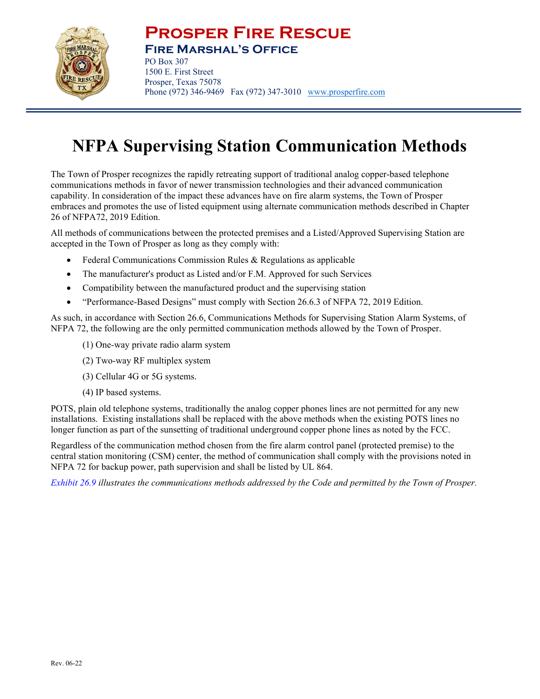

## **Prosper Fire Rescue**

**Fire Marshal's Office** 

PO Box 307 1500 E. First Street Prosper, Texas 75078 Phone (972) 346-9469 Fax (972) 347-3010 www.prosperfire.com

## **NFPA Supervising Station Communication Methods**

The Town of Prosper recognizes the rapidly retreating support of traditional analog copper-based telephone communications methods in favor of newer transmission technologies and their advanced communication capability. In consideration of the impact these advances have on fire alarm systems, the Town of Prosper embraces and promotes the use of listed equipment using alternate communication methods described in Chapter 26 of NFPA72, 2019 Edition.

All methods of communications between the protected premises and a Listed/Approved Supervising Station are accepted in the Town of Prosper as long as they comply with:

- Federal Communications Commission Rules & Regulations as applicable
- The manufacturer's product as Listed and/or F.M. Approved for such Services
- Compatibility between the manufactured product and the supervising station
- "Performance-Based Designs" must comply with Section 26.6.3 of NFPA 72, 2019 Edition.

As such, in accordance with Section 26.6, Communications Methods for Supervising Station Alarm Systems, of NFPA 72, the following are the only permitted communication methods allowed by the Town of Prosper.

- (1) One-way private radio alarm system
- (2) Two-way RF multiplex system
- (3) Cellular 4G or 5G systems.
- (4) IP based systems.

POTS, plain old telephone systems, traditionally the analog copper phones lines are not permitted for any new installations. Existing installations shall be replaced with the above methods when the existing POTS lines no longer function as part of the sunsetting of traditional underground copper phone lines as noted by the FCC.

Regardless of the communication method chosen from the fire alarm control panel (protected premise) to the central station monitoring (CSM) center, the method of communication shall comply with the provisions noted in NFPA 72 for backup power, path supervision and shall be listed by UL 864.

*Exhibit 26.9 illustrates the communications methods addressed by the Code and permitted by the Town of Prosper.*